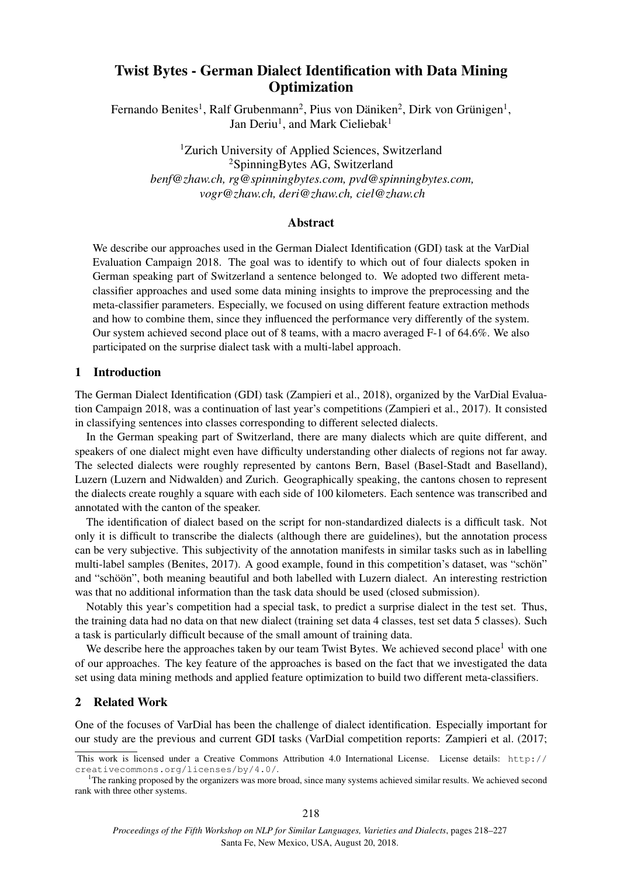# Twist Bytes - German Dialect Identification with Data Mining **Optimization**

Fernando Benites<sup>1</sup>, Ralf Grubenmann<sup>2</sup>, Pius von Däniken<sup>2</sup>, Dirk von Grünigen<sup>1</sup>, Jan Deriu<sup>1</sup>, and Mark Cieliebak<sup>1</sup>

<sup>1</sup>Zurich University of Applied Sciences, Switzerland <sup>2</sup>SpinningBytes AG, Switzerland *benf@zhaw.ch, rg@spinningbytes.com, pvd@spinningbytes.com, vogr@zhaw.ch, deri@zhaw.ch, ciel@zhaw.ch*

# Abstract

We describe our approaches used in the German Dialect Identification (GDI) task at the VarDial Evaluation Campaign 2018. The goal was to identify to which out of four dialects spoken in German speaking part of Switzerland a sentence belonged to. We adopted two different metaclassifier approaches and used some data mining insights to improve the preprocessing and the meta-classifier parameters. Especially, we focused on using different feature extraction methods and how to combine them, since they influenced the performance very differently of the system. Our system achieved second place out of 8 teams, with a macro averaged F-1 of 64.6%. We also participated on the surprise dialect task with a multi-label approach.

# 1 Introduction

The German Dialect Identification (GDI) task (Zampieri et al., 2018), organized by the VarDial Evaluation Campaign 2018, was a continuation of last year's competitions (Zampieri et al., 2017). It consisted in classifying sentences into classes corresponding to different selected dialects.

In the German speaking part of Switzerland, there are many dialects which are quite different, and speakers of one dialect might even have difficulty understanding other dialects of regions not far away. The selected dialects were roughly represented by cantons Bern, Basel (Basel-Stadt and Baselland), Luzern (Luzern and Nidwalden) and Zurich. Geographically speaking, the cantons chosen to represent the dialects create roughly a square with each side of 100 kilometers. Each sentence was transcribed and annotated with the canton of the speaker.

The identification of dialect based on the script for non-standardized dialects is a difficult task. Not only it is difficult to transcribe the dialects (although there are guidelines), but the annotation process can be very subjective. This subjectivity of the annotation manifests in similar tasks such as in labelling multi-label samples (Benites, 2017). A good example, found in this competition's dataset, was "schön" and "schoön", both meaning beautiful and both labelled with Luzern dialect. An interesting restriction was that no additional information than the task data should be used (closed submission).

Notably this year's competition had a special task, to predict a surprise dialect in the test set. Thus, the training data had no data on that new dialect (training set data 4 classes, test set data 5 classes). Such a task is particularly difficult because of the small amount of training data.

We describe here the approaches taken by our team Twist Bytes. We achieved second place<sup>1</sup> with one of our approaches. The key feature of the approaches is based on the fact that we investigated the data set using data mining methods and applied feature optimization to build two different meta-classifiers.

# 2 Related Work

One of the focuses of VarDial has been the challenge of dialect identification. Especially important for our study are the previous and current GDI tasks (VarDial competition reports: Zampieri et al. (2017;

This work is licensed under a Creative Commons Attribution 4.0 International License. License details: http:// creativecommons.org/licenses/by/4.0/.

<sup>&</sup>lt;sup>1</sup>The ranking proposed by the organizers was more broad, since many systems achieved similar results. We achieved second rank with three other systems.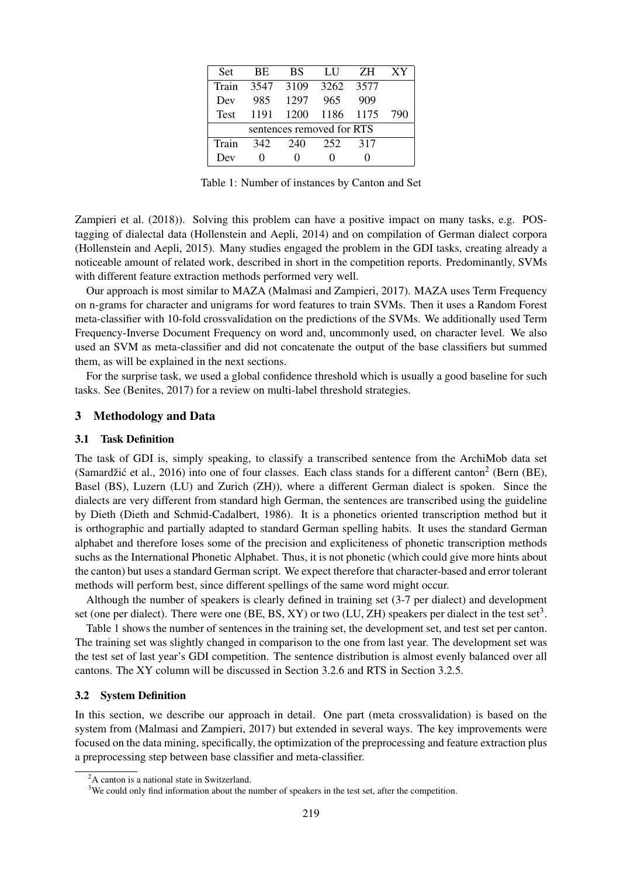| <b>Set</b>                | <b>BE</b> | <b>BS</b> | LU             | ZH. | XY  |  |  |  |
|---------------------------|-----------|-----------|----------------|-----|-----|--|--|--|
| Train                     |           | 3547 3109 | 3262 3577      |     |     |  |  |  |
| Dev                       | 985       | 1297      | 965            | 909 |     |  |  |  |
| <b>Test</b>               | 1191      |           | 1200 1186 1175 |     | 790 |  |  |  |
| sentences removed for RTS |           |           |                |     |     |  |  |  |
| Train                     | 342       | 240       | 252            | 317 |     |  |  |  |
| Dev                       |           |           |                |     |     |  |  |  |

Table 1: Number of instances by Canton and Set

Zampieri et al. (2018)). Solving this problem can have a positive impact on many tasks, e.g. POStagging of dialectal data (Hollenstein and Aepli, 2014) and on compilation of German dialect corpora (Hollenstein and Aepli, 2015). Many studies engaged the problem in the GDI tasks, creating already a noticeable amount of related work, described in short in the competition reports. Predominantly, SVMs with different feature extraction methods performed very well.

Our approach is most similar to MAZA (Malmasi and Zampieri, 2017). MAZA uses Term Frequency on n-grams for character and unigrams for word features to train SVMs. Then it uses a Random Forest meta-classifier with 10-fold crossvalidation on the predictions of the SVMs. We additionally used Term Frequency-Inverse Document Frequency on word and, uncommonly used, on character level. We also used an SVM as meta-classifier and did not concatenate the output of the base classifiers but summed them, as will be explained in the next sections.

For the surprise task, we used a global confidence threshold which is usually a good baseline for such tasks. See (Benites, 2017) for a review on multi-label threshold strategies.

# 3 Methodology and Data

### 3.1 Task Definition

The task of GDI is, simply speaking, to classify a transcribed sentence from the ArchiMob data set (Samardžić et al., 2016) into one of four classes. Each class stands for a different canton<sup>2</sup> (Bern (BE), Basel (BS), Luzern (LU) and Zurich (ZH)), where a different German dialect is spoken. Since the dialects are very different from standard high German, the sentences are transcribed using the guideline by Dieth (Dieth and Schmid-Cadalbert, 1986). It is a phonetics oriented transcription method but it is orthographic and partially adapted to standard German spelling habits. It uses the standard German alphabet and therefore loses some of the precision and expliciteness of phonetic transcription methods suchs as the International Phonetic Alphabet. Thus, it is not phonetic (which could give more hints about the canton) but uses a standard German script. We expect therefore that character-based and error tolerant methods will perform best, since different spellings of the same word might occur.

Although the number of speakers is clearly defined in training set (3-7 per dialect) and development set (one per dialect). There were one (BE, BS, XY) or two (LU, ZH) speakers per dialect in the test set<sup>3</sup>.

Table 1 shows the number of sentences in the training set, the development set, and test set per canton. The training set was slightly changed in comparison to the one from last year. The development set was the test set of last year's GDI competition. The sentence distribution is almost evenly balanced over all cantons. The XY column will be discussed in Section 3.2.6 and RTS in Section 3.2.5.

#### 3.2 System Definition

In this section, we describe our approach in detail. One part (meta crossvalidation) is based on the system from (Malmasi and Zampieri, 2017) but extended in several ways. The key improvements were focused on the data mining, specifically, the optimization of the preprocessing and feature extraction plus a preprocessing step between base classifier and meta-classifier.

<sup>&</sup>lt;sup>2</sup>A canton is a national state in Switzerland.

<sup>&</sup>lt;sup>3</sup>We could only find information about the number of speakers in the test set, after the competition.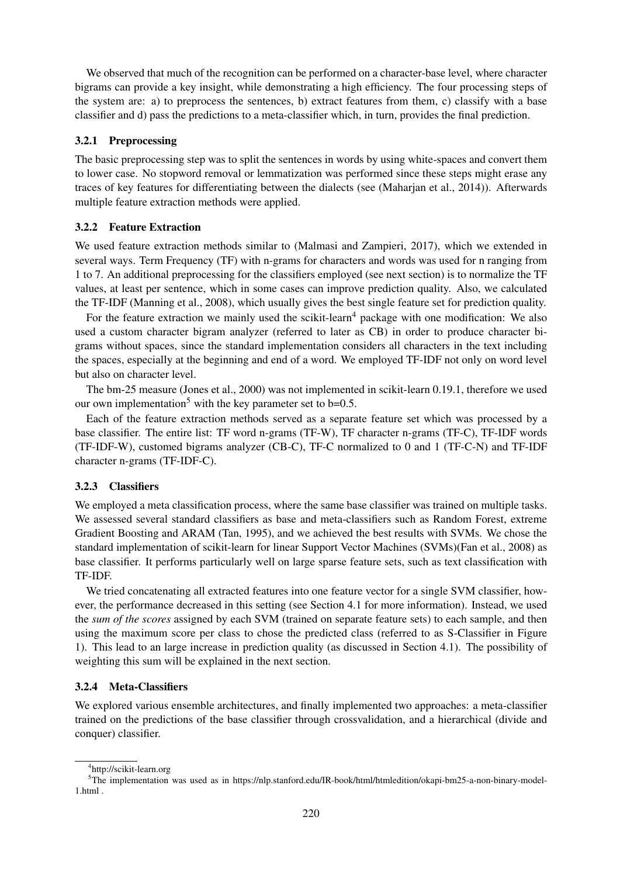We observed that much of the recognition can be performed on a character-base level, where character bigrams can provide a key insight, while demonstrating a high efficiency. The four processing steps of the system are: a) to preprocess the sentences, b) extract features from them, c) classify with a base classifier and d) pass the predictions to a meta-classifier which, in turn, provides the final prediction.

### 3.2.1 Preprocessing

The basic preprocessing step was to split the sentences in words by using white-spaces and convert them to lower case. No stopword removal or lemmatization was performed since these steps might erase any traces of key features for differentiating between the dialects (see (Maharjan et al., 2014)). Afterwards multiple feature extraction methods were applied.

## 3.2.2 Feature Extraction

We used feature extraction methods similar to (Malmasi and Zampieri, 2017), which we extended in several ways. Term Frequency (TF) with n-grams for characters and words was used for n ranging from 1 to 7. An additional preprocessing for the classifiers employed (see next section) is to normalize the TF values, at least per sentence, which in some cases can improve prediction quality. Also, we calculated the TF-IDF (Manning et al., 2008), which usually gives the best single feature set for prediction quality.

For the feature extraction we mainly used the scikit-learn<sup>4</sup> package with one modification: We also used a custom character bigram analyzer (referred to later as CB) in order to produce character bigrams without spaces, since the standard implementation considers all characters in the text including the spaces, especially at the beginning and end of a word. We employed TF-IDF not only on word level but also on character level.

The bm-25 measure (Jones et al., 2000) was not implemented in scikit-learn 0.19.1, therefore we used our own implementation<sup>5</sup> with the key parameter set to  $b=0.5$ .

Each of the feature extraction methods served as a separate feature set which was processed by a base classifier. The entire list: TF word n-grams (TF-W), TF character n-grams (TF-C), TF-IDF words (TF-IDF-W), customed bigrams analyzer (CB-C), TF-C normalized to 0 and 1 (TF-C-N) and TF-IDF character n-grams (TF-IDF-C).

### 3.2.3 Classifiers

We employed a meta classification process, where the same base classifier was trained on multiple tasks. We assessed several standard classifiers as base and meta-classifiers such as Random Forest, extreme Gradient Boosting and ARAM (Tan, 1995), and we achieved the best results with SVMs. We chose the standard implementation of scikit-learn for linear Support Vector Machines (SVMs)(Fan et al., 2008) as base classifier. It performs particularly well on large sparse feature sets, such as text classification with TF-IDF.

We tried concatenating all extracted features into one feature vector for a single SVM classifier, however, the performance decreased in this setting (see Section 4.1 for more information). Instead, we used the *sum of the scores* assigned by each SVM (trained on separate feature sets) to each sample, and then using the maximum score per class to chose the predicted class (referred to as S-Classifier in Figure 1). This lead to an large increase in prediction quality (as discussed in Section 4.1). The possibility of weighting this sum will be explained in the next section.

### 3.2.4 Meta-Classifiers

We explored various ensemble architectures, and finally implemented two approaches: a meta-classifier trained on the predictions of the base classifier through crossvalidation, and a hierarchical (divide and conquer) classifier.

<sup>4</sup> http://scikit-learn.org

<sup>5</sup>The implementation was used as in https://nlp.stanford.edu/IR-book/html/htmledition/okapi-bm25-a-non-binary-model-1.html .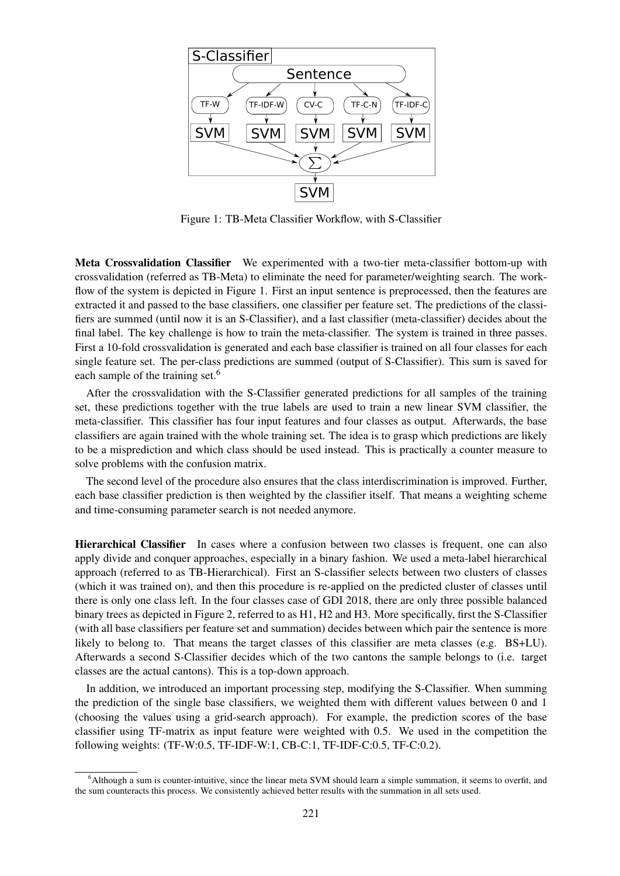

Figure 1: TB-Meta Classifier Workflow, with S-Classifier

Meta Crossvalidation Classifier We experimented with a two-tier meta-classifier bottom-up with crossvalidation (referred as TB-Meta) to eliminate the need for parameter/weighting search. The workflow of the system is depicted in Figure 1. First an input sentence is preprocessed, then the features are extracted it and passed to the base classifiers, one classifier per feature set. The predictions of the classifiers are summed (until now it is an S-Classifier), and a last classifier (meta-classifier) decides about the final label. The key challenge is how to train the meta-classifier. The system is trained in three passes. First a 10-fold crossvalidation is generated and each base classifier is trained on all four classes for each single feature set. The per-class predictions are summed (output of S-Classifier). This sum is saved for each sample of the training set.<sup>6</sup>

After the crossvalidation with the S-Classifier generated predictions for all samples of the training set, these predictions together with the true labels are used to train a new linear SVM classifier, the meta-classifier. This classifier has four input features and four classes as output. Afterwards, the base classifiers are again trained with the whole training set. The idea is to grasp which predictions are likely to be a misprediction and which class should be used instead. This is practically a counter measure to solve problems with the confusion matrix.

The second level of the procedure also ensures that the class interdiscrimination is improved. Further, each base classifier prediction is then weighted by the classifier itself. That means a weighting scheme and time-consuming parameter search is not needed anymore.

Hierarchical Classifier In cases where a confusion between two classes is frequent, one can also apply divide and conquer approaches, especially in a binary fashion. We used a meta-label hierarchical approach (referred to as TB-Hierarchical). First an S-classifier selects between two clusters of classes (which it was trained on), and then this procedure is re-applied on the predicted cluster of classes until there is only one class left. In the four classes case of GDI 2018, there are only three possible balanced binary trees as depicted in Figure 2, referred to as H1, H2 and H3. More specifically, first the S-Classifier (with all base classifiers per feature set and summation) decides between which pair the sentence is more likely to belong to. That means the target classes of this classifier are meta classes (e.g. BS+LU). Afterwards a second S-Classifier decides which of the two cantons the sample belongs to (i.e. target classes are the actual cantons). This is a top-down approach.

In addition, we introduced an important processing step, modifying the S-Classifier. When summing the prediction of the single base classifiers, we weighted them with different values between 0 and 1 (choosing the values using a grid-search approach). For example, the prediction scores of the base classifier using TF-matrix as input feature were weighted with 0.5. We used in the competition the following weights: (TF-W:0.5, TF-IDF-W:1, CB-C:1, TF-IDF-C:0.5, TF-C:0.2).

 $6$ Although a sum is counter-intuitive, since the linear meta SVM should learn a simple summation, it seems to overfit, and the sum counteracts this process. We consistently achieved better results with the summation in all sets used.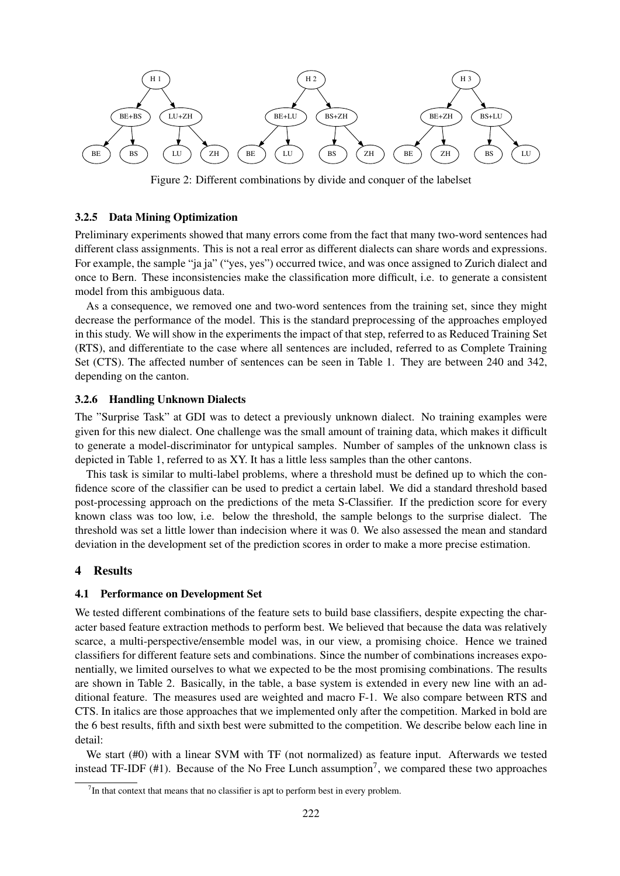

Figure 2: Different combinations by divide and conquer of the labelset

#### 3.2.5 Data Mining Optimization

Preliminary experiments showed that many errors come from the fact that many two-word sentences had different class assignments. This is not a real error as different dialects can share words and expressions. For example, the sample "ja ja" ("yes, yes") occurred twice, and was once assigned to Zurich dialect and once to Bern. These inconsistencies make the classification more difficult, i.e. to generate a consistent model from this ambiguous data.

As a consequence, we removed one and two-word sentences from the training set, since they might decrease the performance of the model. This is the standard preprocessing of the approaches employed in this study. We will show in the experiments the impact of that step, referred to as Reduced Training Set (RTS), and differentiate to the case where all sentences are included, referred to as Complete Training Set (CTS). The affected number of sentences can be seen in Table 1. They are between 240 and 342, depending on the canton.

#### 3.2.6 Handling Unknown Dialects

The "Surprise Task" at GDI was to detect a previously unknown dialect. No training examples were given for this new dialect. One challenge was the small amount of training data, which makes it difficult to generate a model-discriminator for untypical samples. Number of samples of the unknown class is depicted in Table 1, referred to as XY. It has a little less samples than the other cantons.

This task is similar to multi-label problems, where a threshold must be defined up to which the confidence score of the classifier can be used to predict a certain label. We did a standard threshold based post-processing approach on the predictions of the meta S-Classifier. If the prediction score for every known class was too low, i.e. below the threshold, the sample belongs to the surprise dialect. The threshold was set a little lower than indecision where it was 0. We also assessed the mean and standard deviation in the development set of the prediction scores in order to make a more precise estimation.

## 4 Results

#### 4.1 Performance on Development Set

We tested different combinations of the feature sets to build base classifiers, despite expecting the character based feature extraction methods to perform best. We believed that because the data was relatively scarce, a multi-perspective/ensemble model was, in our view, a promising choice. Hence we trained classifiers for different feature sets and combinations. Since the number of combinations increases exponentially, we limited ourselves to what we expected to be the most promising combinations. The results are shown in Table 2. Basically, in the table, a base system is extended in every new line with an additional feature. The measures used are weighted and macro F-1. We also compare between RTS and CTS. In italics are those approaches that we implemented only after the competition. Marked in bold are the 6 best results, fifth and sixth best were submitted to the competition. We describe below each line in detail:

We start (#0) with a linear SVM with TF (not normalized) as feature input. Afterwards we tested instead TF-IDF  $(\#1)$ . Because of the No Free Lunch assumption<sup>7</sup>, we compared these two approaches

 $7$ In that context that means that no classifier is apt to perform best in every problem.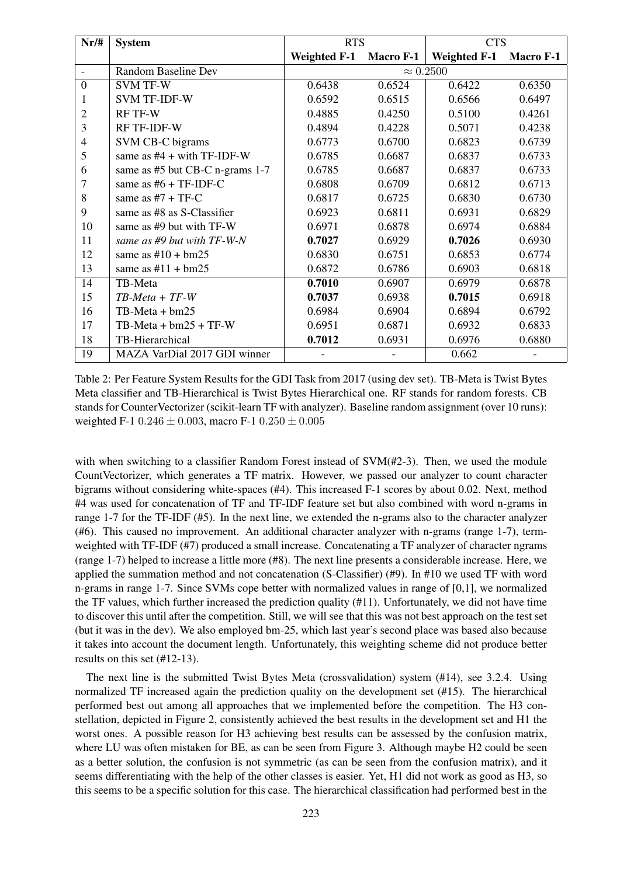| $Nr/\#$        | <b>System</b>                       | <b>RTS</b>          |           | <b>CTS</b>          |                  |
|----------------|-------------------------------------|---------------------|-----------|---------------------|------------------|
|                |                                     | <b>Weighted F-1</b> | Macro F-1 | <b>Weighted F-1</b> | <b>Macro F-1</b> |
| $\blacksquare$ | Random Baseline Dev                 | $\approx 0.2500$    |           |                     |                  |
| $\overline{0}$ | <b>SVM TF-W</b>                     | 0.6438              | 0.6524    | 0.6422              | 0.6350           |
|                | <b>SVM TF-IDF-W</b>                 | 0.6592              | 0.6515    | 0.6566              | 0.6497           |
| 2              | <b>RF TF-W</b>                      | 0.4885              | 0.4250    | 0.5100              | 0.4261           |
| 3              | <b>RF TF-IDF-W</b>                  | 0.4894              | 0.4228    | 0.5071              | 0.4238           |
| $\overline{4}$ | SVM CB-C bigrams                    | 0.6773              | 0.6700    | 0.6823              | 0.6739           |
| 5              | same as $#4 + with TF-IDF-W$        | 0.6785              | 0.6687    | 0.6837              | 0.6733           |
| 6              | same as #5 but CB-C n-grams 1-7     | 0.6785              | 0.6687    | 0.6837              | 0.6733           |
| 7              | same as $#6 + TF$ -IDF-C            | 0.6808              | 0.6709    | 0.6812              | 0.6713           |
| 8              | same as $#7 + TF-C$                 | 0.6817              | 0.6725    | 0.6830              | 0.6730           |
| 9              | same as #8 as S-Classifier          | 0.6923              | 0.6811    | 0.6931              | 0.6829           |
| 10             | same as $#9$ but with $TF-W$        | 0.6971              | 0.6878    | 0.6974              | 0.6884           |
| 11             | same as $#9$ but with $TF-W-N$      | 0.7027              | 0.6929    | 0.7026              | 0.6930           |
| 12             | same as $\text{\#}10 + \text{bm25}$ | 0.6830              | 0.6751    | 0.6853              | 0.6774           |
| 13             | same as $#11 + bm25$                | 0.6872              | 0.6786    | 0.6903              | 0.6818           |
| 14             | TB-Meta                             | 0.7010              | 0.6907    | 0.6979              | 0.6878           |
| 15             | $TB-Meta + TF-W$                    | 0.7037              | 0.6938    | 0.7015              | 0.6918           |
| 16             | TB-Meta + bm25                      | 0.6984              | 0.6904    | 0.6894              | 0.6792           |
| 17             | $TB-Meta + bm25 + TF-W$             | 0.6951              | 0.6871    | 0.6932              | 0.6833           |
| 18             | TB-Hierarchical                     | 0.7012              | 0.6931    | 0.6976              | 0.6880           |
| 19             | MAZA VarDial 2017 GDI winner        |                     |           | 0.662               |                  |

Table 2: Per Feature System Results for the GDI Task from 2017 (using dev set). TB-Meta is Twist Bytes Meta classifier and TB-Hierarchical is Twist Bytes Hierarchical one. RF stands for random forests. CB stands for CounterVectorizer (scikit-learn TF with analyzer). Baseline random assignment (over 10 runs): weighted F-1 0.246  $\pm$  0.003, macro F-1 0.250  $\pm$  0.005

with when switching to a classifier Random Forest instead of SVM(#2-3). Then, we used the module CountVectorizer, which generates a TF matrix. However, we passed our analyzer to count character bigrams without considering white-spaces (#4). This increased F-1 scores by about 0.02. Next, method #4 was used for concatenation of TF and TF-IDF feature set but also combined with word n-grams in range 1-7 for the TF-IDF (#5). In the next line, we extended the n-grams also to the character analyzer (#6). This caused no improvement. An additional character analyzer with n-grams (range 1-7), termweighted with TF-IDF (#7) produced a small increase. Concatenating a TF analyzer of character ngrams (range 1-7) helped to increase a little more (#8). The next line presents a considerable increase. Here, we applied the summation method and not concatenation (S-Classifier) (#9). In #10 we used TF with word n-grams in range 1-7. Since SVMs cope better with normalized values in range of [0,1], we normalized the TF values, which further increased the prediction quality (#11). Unfortunately, we did not have time to discover this until after the competition. Still, we will see that this was not best approach on the test set (but it was in the dev). We also employed bm-25, which last year's second place was based also because it takes into account the document length. Unfortunately, this weighting scheme did not produce better results on this set (#12-13).

The next line is the submitted Twist Bytes Meta (crossvalidation) system (#14), see 3.2.4. Using normalized TF increased again the prediction quality on the development set (#15). The hierarchical performed best out among all approaches that we implemented before the competition. The H3 constellation, depicted in Figure 2, consistently achieved the best results in the development set and H1 the worst ones. A possible reason for H3 achieving best results can be assessed by the confusion matrix, where LU was often mistaken for BE, as can be seen from Figure 3. Although maybe H2 could be seen as a better solution, the confusion is not symmetric (as can be seen from the confusion matrix), and it seems differentiating with the help of the other classes is easier. Yet, H1 did not work as good as H3, so this seems to be a specific solution for this case. The hierarchical classification had performed best in the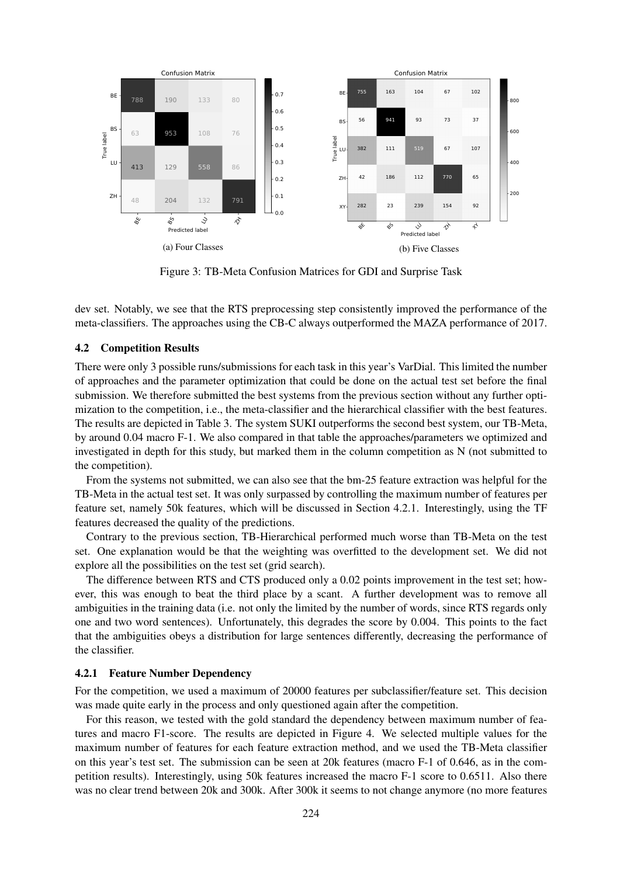

Figure 3: TB-Meta Confusion Matrices for GDI and Surprise Task

dev set. Notably, we see that the RTS preprocessing step consistently improved the performance of the meta-classifiers. The approaches using the CB-C always outperformed the MAZA performance of 2017.

## 4.2 Competition Results

There were only 3 possible runs/submissions for each task in this year's VarDial. This limited the number of approaches and the parameter optimization that could be done on the actual test set before the final submission. We therefore submitted the best systems from the previous section without any further optimization to the competition, i.e., the meta-classifier and the hierarchical classifier with the best features. The results are depicted in Table 3. The system SUKI outperforms the second best system, our TB-Meta, by around 0.04 macro F-1. We also compared in that table the approaches/parameters we optimized and investigated in depth for this study, but marked them in the column competition as N (not submitted to the competition).

From the systems not submitted, we can also see that the bm-25 feature extraction was helpful for the TB-Meta in the actual test set. It was only surpassed by controlling the maximum number of features per feature set, namely 50k features, which will be discussed in Section 4.2.1. Interestingly, using the TF features decreased the quality of the predictions.

Contrary to the previous section, TB-Hierarchical performed much worse than TB-Meta on the test set. One explanation would be that the weighting was overfitted to the development set. We did not explore all the possibilities on the test set (grid search).

The difference between RTS and CTS produced only a 0.02 points improvement in the test set; however, this was enough to beat the third place by a scant. A further development was to remove all ambiguities in the training data (i.e. not only the limited by the number of words, since RTS regards only one and two word sentences). Unfortunately, this degrades the score by 0.004. This points to the fact that the ambiguities obeys a distribution for large sentences differently, decreasing the performance of the classifier.

### 4.2.1 Feature Number Dependency

For the competition, we used a maximum of 20000 features per subclassifier/feature set. This decision was made quite early in the process and only questioned again after the competition.

For this reason, we tested with the gold standard the dependency between maximum number of features and macro F1-score. The results are depicted in Figure 4. We selected multiple values for the maximum number of features for each feature extraction method, and we used the TB-Meta classifier on this year's test set. The submission can be seen at 20k features (macro F-1 of 0.646, as in the competition results). Interestingly, using 50k features increased the macro F-1 score to 0.6511. Also there was no clear trend between 20k and 300k. After 300k it seems to not change anymore (no more features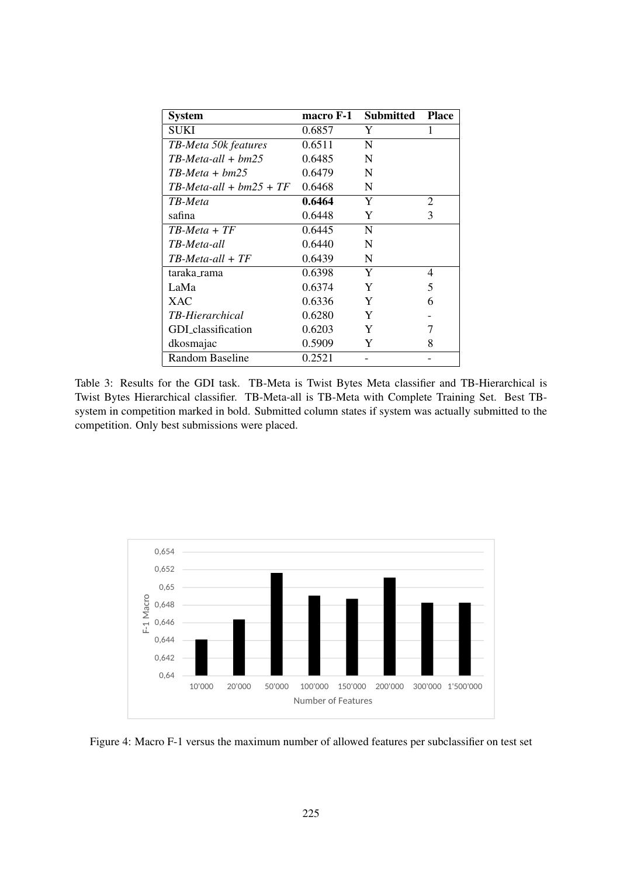| <b>System</b>             | macro F-1 | Submitted | <b>Place</b>  |
|---------------------------|-----------|-----------|---------------|
| SUKI                      | 0.6857    | Y         |               |
| TB-Meta 50k features      | 0.6511    | N         |               |
| $TB-Meta-all + bm25$      | 0.6485    | N         |               |
| $TB-Meta + bm25$          | 0.6479    | N         |               |
| $TB-Meta-all + bm25 + TF$ | 0.6468    | N         |               |
| TB-Meta                   | 0.6464    | Y         | 2             |
| safina                    | 0.6448    | Y         | $\mathcal{F}$ |
| $TB-Meta + TF$            | 0.6445    | N         |               |
| TB-Meta-all               | 0.6440    | N         |               |
| $TB-Meta-all + TF$        | 0.6439    | N         |               |
| taraka_rama               | 0.6398    | Y         | 4             |
| LaMa                      | 0.6374    | Y         | 5             |
| <b>XAC</b>                | 0.6336    | Y         | 6             |
| <b>TB-Hierarchical</b>    | 0.6280    | Y         |               |
| GDI_classification        | 0.6203    | Y         | 7             |
| dkosmajac                 | 0.5909    | Y         | 8             |
| Random Baseline           | 0.2521    |           |               |

Table 3: Results for the GDI task. TB-Meta is Twist Bytes Meta classifier and TB-Hierarchical is Twist Bytes Hierarchical classifier. TB-Meta-all is TB-Meta with Complete Training Set. Best TBsystem in competition marked in bold. Submitted column states if system was actually submitted to the competition. Only best submissions were placed.



Figure 4: Macro F-1 versus the maximum number of allowed features per subclassifier on test set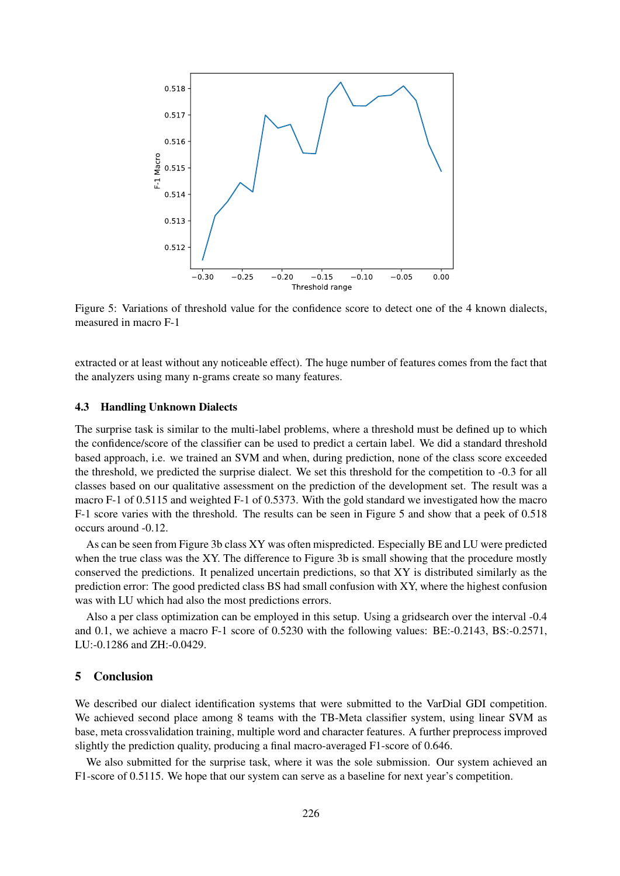

Figure 5: Variations of threshold value for the confidence score to detect one of the 4 known dialects, measured in macro F-1

extracted or at least without any noticeable effect). The huge number of features comes from the fact that the analyzers using many n-grams create so many features.

#### 4.3 Handling Unknown Dialects

The surprise task is similar to the multi-label problems, where a threshold must be defined up to which the confidence/score of the classifier can be used to predict a certain label. We did a standard threshold based approach, i.e. we trained an SVM and when, during prediction, none of the class score exceeded the threshold, we predicted the surprise dialect. We set this threshold for the competition to -0.3 for all classes based on our qualitative assessment on the prediction of the development set. The result was a macro F-1 of 0.5115 and weighted F-1 of 0.5373. With the gold standard we investigated how the macro F-1 score varies with the threshold. The results can be seen in Figure 5 and show that a peek of 0.518 occurs around -0.12.

As can be seen from Figure 3b class XY was often mispredicted. Especially BE and LU were predicted when the true class was the XY. The difference to Figure 3b is small showing that the procedure mostly conserved the predictions. It penalized uncertain predictions, so that XY is distributed similarly as the prediction error: The good predicted class BS had small confusion with XY, where the highest confusion was with LU which had also the most predictions errors.

Also a per class optimization can be employed in this setup. Using a gridsearch over the interval -0.4 and 0.1, we achieve a macro F-1 score of 0.5230 with the following values: BE:-0.2143, BS:-0.2571, LU:-0.1286 and ZH:-0.0429.

## 5 Conclusion

We described our dialect identification systems that were submitted to the VarDial GDI competition. We achieved second place among 8 teams with the TB-Meta classifier system, using linear SVM as base, meta crossvalidation training, multiple word and character features. A further preprocess improved slightly the prediction quality, producing a final macro-averaged F1-score of 0.646.

We also submitted for the surprise task, where it was the sole submission. Our system achieved an F1-score of 0.5115. We hope that our system can serve as a baseline for next year's competition.